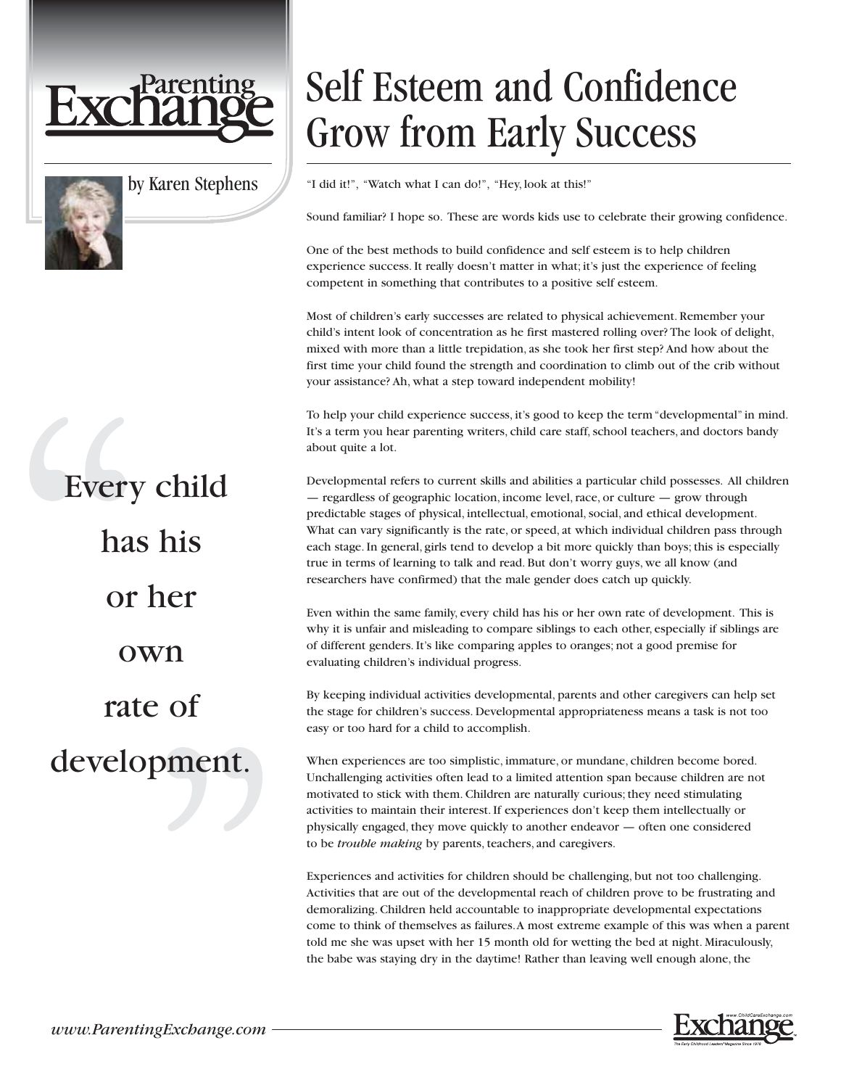



by Karen Stephens

## Every child has his or her own rate of development.

## Self Esteem and Confidence Grow from Early Success

"I did it!", "Watch what I can do!", "Hey, look at this!"

Sound familiar? I hope so. These are words kids use to celebrate their growing confidence.

One of the best methods to build confidence and self esteem is to help children experience success. It really doesn't matter in what; it's just the experience of feeling competent in something that contributes to a positive self esteem.

Most of children's early successes are related to physical achievement. Remember your child's intent look of concentration as he first mastered rolling over? The look of delight, mixed with more than a little trepidation, as she took her first step? And how about the first time your child found the strength and coordination to climb out of the crib without your assistance? Ah, what a step toward independent mobility!

To help your child experience success, it's good to keep the term "developmental" in mind. It's a term you hear parenting writers, child care staff, school teachers, and doctors bandy about quite a lot.

Developmental refers to current skills and abilities a particular child possesses. All children — regardless of geographic location, income level, race, or culture — grow through predictable stages of physical, intellectual, emotional, social, and ethical development. What can vary significantly is the rate, or speed, at which individual children pass through each stage. In general, girls tend to develop a bit more quickly than boys; this is especially true in terms of learning to talk and read. But don't worry guys, we all know (and researchers have confirmed) that the male gender does catch up quickly.

Even within the same family, every child has his or her own rate of development. This is why it is unfair and misleading to compare siblings to each other, especially if siblings are of different genders. It's like comparing apples to oranges; not a good premise for evaluating children's individual progress.

By keeping individual activities developmental, parents and other caregivers can help set the stage for children's success. Developmental appropriateness means a task is not too easy or too hard for a child to accomplish.

When experiences are too simplistic, immature, or mundane, children become bored. Unchallenging activities often lead to a limited attention span because children are not motivated to stick with them. Children are naturally curious; they need stimulating activities to maintain their interest. If experiences don't keep them intellectually or physically engaged, they move quickly to another endeavor — often one considered to be *trouble making* by parents, teachers, and caregivers.

Experiences and activities for children should be challenging, but not too challenging. Activities that are out of the developmental reach of children prove to be frustrating and demoralizing. Children held accountable to inappropriate developmental expectations come to think of themselves as failures.A most extreme example of this was when a parent told me she was upset with her 15 month old for wetting the bed at night. Miraculously, the babe was staying dry in the daytime! Rather than leaving well enough alone, the